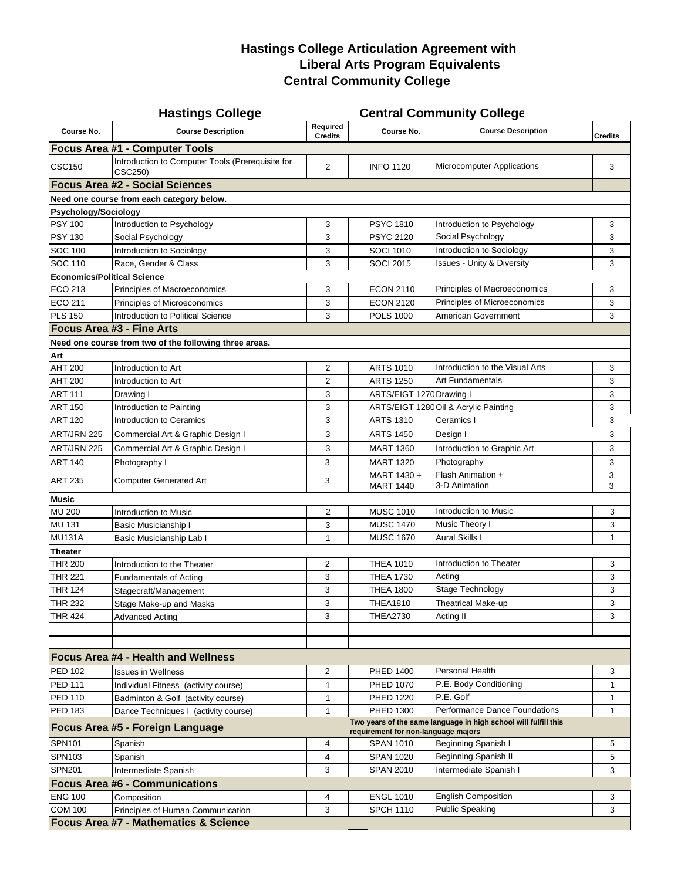## **Liberal Arts Program Equivalents Hastings College Articulation Agreement with Central Community College**

| Required<br>Course No.<br><b>Course Description</b><br><b>Course Description</b><br>Course No.<br><b>Credits</b><br><b>Credits</b><br>Introduction to Computer Tools (Prerequisite for<br>$\overline{2}$<br><b>INFO 1120</b><br><b>Microcomputer Applications</b><br>3<br>CSC250)<br><b>Focus Area #2 - Social Sciences</b><br>Psychology/Sociology<br>Introduction to Psychology<br>3<br><b>PSYC 1810</b><br>Introduction to Psychology<br>3<br><b>PSYC 2120</b><br>PSY 130<br>Social Psychology<br>3<br>Social Psychology<br>3<br>Introduction to Sociology<br>Introduction to Sociology<br>3<br><b>SOCI 1010</b><br>3<br><b>Issues - Unity &amp; Diversity</b><br>Race, Gender & Class<br>3<br><b>SOCI 2015</b><br>3<br><b>Economics/Political Science</b><br>Principles of Macroeconomics<br>3<br>Principles of Macroeconomics<br><b>ECON 2110</b><br>3<br>Principles of Microeconomics<br>3<br>3<br>Principles of Microeconomics<br><b>ECON 2120</b><br>Introduction to Political Science<br>3<br><b>POLS 1000</b><br>American Government<br>3<br><b>Focus Area #3 - Fine Arts</b><br>Need one course from two of the following three areas.<br>Introduction to the Visual Arts<br>Introduction to Art<br>$\overline{2}$<br><b>ARTS 1010</b><br>3<br><b>AHT 200</b><br>$\overline{2}$<br><b>ARTS 1250</b><br><b>Art Fundamentals</b><br>3<br>Introduction to Art<br><b>ART 111</b><br>3<br>ARTS/EIGT 1270 Drawing I<br>3<br>Drawing I<br>3<br>ARTS/EIGT 1280 Oil & Acrylic Painting<br>3<br>Introduction to Painting<br><b>ART 120</b><br>Introduction to Ceramics<br>3<br><b>ARTS 1310</b><br>3<br>Ceramics I<br>ART/JRN 225<br>Commercial Art & Graphic Design I<br>3<br>3<br><b>ARTS 1450</b><br>Design I<br>Commercial Art & Graphic Design I<br>3<br><b>MART 1360</b><br>3<br>Introduction to Graphic Art<br>3<br><b>MART 1320</b><br>Photography<br>3<br>Photography I<br>Flash Animation +<br>MART 1430+<br>3<br>3<br><b>Computer Generated Art</b><br><b>MART 1440</b><br>3-D Animation<br>3<br>$\overline{2}$<br><b>MUSC 1010</b><br>Introduction to Music<br>3<br>Introduction to Music<br>Music Theory I<br><b>MUSC 1470</b><br>3<br><b>Basic Musicianship I</b><br>3<br><b>MU131A</b><br><b>Aural Skills I</b><br><b>MUSC 1670</b><br>1<br>Basic Musicianship Lab I<br>$\mathbf{1}$<br>Introduction to Theater<br>$\overline{2}$<br><b>THEA 1010</b><br>3<br>Introduction to the Theater<br><b>THR 221</b><br><b>THEA 1730</b><br>Acting<br>3<br>3<br><b>Fundamentals of Acting</b><br>Stage Technology<br>$\mathbf{3}$<br>3<br><b>THR 124</b><br><b>THEA 1800</b><br>Stagecraft/Management<br>Stage Make-up and Masks<br>3<br><b>THEA1810</b><br>Theatrical Make-up<br>3<br>$\mathfrak{Z}$<br>3<br><b>THR 424</b><br><b>THEA2730</b><br>Acting II<br>Advanced Acting<br><b>Focus Area #4 - Health and Wellness</b><br>Personal Health<br>2<br><b>PHED 1400</b><br>3<br>Issues in Wellness<br><b>PED 111</b><br>P.E. Body Conditioning<br>PHED 1070<br>$\mathbf{1}$<br>Individual Fitness (activity course)<br>$\mathbf{1}$<br>P.E. Golf<br><b>PED 110</b><br><b>PHED 1220</b><br>Badminton & Golf (activity course)<br>1<br>1<br>Performance Dance Foundations<br><b>PED 183</b><br>PHED 1300<br>1<br>Dance Techniques I (activity course)<br>$\mathbf{1}$<br>Two years of the same language in high school will fulfill this<br>Focus Area #5 - Foreign Language<br>requirement for non-language majors<br>Beginning Spanish I<br><b>SPN101</b><br><b>SPAN 1010</b><br>Spanish<br>4<br>5<br>Beginning Spanish II<br><b>SPN103</b><br><b>SPAN 1020</b><br>5<br>Spanish<br>4<br>Intermediate Spanish I<br><b>SPN201</b><br>Intermediate Spanish<br>3<br>3<br><b>SPAN 2010</b><br><b>Focus Area #6 - Communications</b><br>English Composition<br><b>ENG 100</b><br>4<br><b>ENGL 1010</b><br>3<br>Composition |                                           | <b>Hastings College</b> |   |  |                  | <b>Central Community College</b> |              |  |  |  |  |
|-------------------------------------------------------------------------------------------------------------------------------------------------------------------------------------------------------------------------------------------------------------------------------------------------------------------------------------------------------------------------------------------------------------------------------------------------------------------------------------------------------------------------------------------------------------------------------------------------------------------------------------------------------------------------------------------------------------------------------------------------------------------------------------------------------------------------------------------------------------------------------------------------------------------------------------------------------------------------------------------------------------------------------------------------------------------------------------------------------------------------------------------------------------------------------------------------------------------------------------------------------------------------------------------------------------------------------------------------------------------------------------------------------------------------------------------------------------------------------------------------------------------------------------------------------------------------------------------------------------------------------------------------------------------------------------------------------------------------------------------------------------------------------------------------------------------------------------------------------------------------------------------------------------------------------------------------------------------------------------------------------------------------------------------------------------------------------------------------------------------------------------------------------------------------------------------------------------------------------------------------------------------------------------------------------------------------------------------------------------------------------------------------------------------------------------------------------------------------------------------------------------------------------------------------------------------------------------------------------------------------------------------------------------------------------------------------------------------------------------------------------------------------------------------------------------------------------------------------------------------------------------------------------------------------------------------------------------------------------------------------------------------------------------------------------------------------------------------------------------------------------------------------------------------------------------------------------------------------------------------------------------------------------------------------------------------------------------------------------------------------------------------------------------------------------------------------------------------------------------------------------------------------------------------------------------------------------------------------------------------------------------------------------------------------------------------------------------------------------------------------------------------------------------------------------------------------------|-------------------------------------------|-------------------------|---|--|------------------|----------------------------------|--------------|--|--|--|--|
|                                                                                                                                                                                                                                                                                                                                                                                                                                                                                                                                                                                                                                                                                                                                                                                                                                                                                                                                                                                                                                                                                                                                                                                                                                                                                                                                                                                                                                                                                                                                                                                                                                                                                                                                                                                                                                                                                                                                                                                                                                                                                                                                                                                                                                                                                                                                                                                                                                                                                                                                                                                                                                                                                                                                                                                                                                                                                                                                                                                                                                                                                                                                                                                                                                                                                                                                                                                                                                                                                                                                                                                                                                                                                                                                                                                                                               |                                           |                         |   |  |                  |                                  |              |  |  |  |  |
|                                                                                                                                                                                                                                                                                                                                                                                                                                                                                                                                                                                                                                                                                                                                                                                                                                                                                                                                                                                                                                                                                                                                                                                                                                                                                                                                                                                                                                                                                                                                                                                                                                                                                                                                                                                                                                                                                                                                                                                                                                                                                                                                                                                                                                                                                                                                                                                                                                                                                                                                                                                                                                                                                                                                                                                                                                                                                                                                                                                                                                                                                                                                                                                                                                                                                                                                                                                                                                                                                                                                                                                                                                                                                                                                                                                                                               | <b>Focus Area #1 - Computer Tools</b>     |                         |   |  |                  |                                  |              |  |  |  |  |
|                                                                                                                                                                                                                                                                                                                                                                                                                                                                                                                                                                                                                                                                                                                                                                                                                                                                                                                                                                                                                                                                                                                                                                                                                                                                                                                                                                                                                                                                                                                                                                                                                                                                                                                                                                                                                                                                                                                                                                                                                                                                                                                                                                                                                                                                                                                                                                                                                                                                                                                                                                                                                                                                                                                                                                                                                                                                                                                                                                                                                                                                                                                                                                                                                                                                                                                                                                                                                                                                                                                                                                                                                                                                                                                                                                                                                               | <b>CSC150</b>                             |                         |   |  |                  |                                  |              |  |  |  |  |
|                                                                                                                                                                                                                                                                                                                                                                                                                                                                                                                                                                                                                                                                                                                                                                                                                                                                                                                                                                                                                                                                                                                                                                                                                                                                                                                                                                                                                                                                                                                                                                                                                                                                                                                                                                                                                                                                                                                                                                                                                                                                                                                                                                                                                                                                                                                                                                                                                                                                                                                                                                                                                                                                                                                                                                                                                                                                                                                                                                                                                                                                                                                                                                                                                                                                                                                                                                                                                                                                                                                                                                                                                                                                                                                                                                                                                               |                                           |                         |   |  |                  |                                  |              |  |  |  |  |
|                                                                                                                                                                                                                                                                                                                                                                                                                                                                                                                                                                                                                                                                                                                                                                                                                                                                                                                                                                                                                                                                                                                                                                                                                                                                                                                                                                                                                                                                                                                                                                                                                                                                                                                                                                                                                                                                                                                                                                                                                                                                                                                                                                                                                                                                                                                                                                                                                                                                                                                                                                                                                                                                                                                                                                                                                                                                                                                                                                                                                                                                                                                                                                                                                                                                                                                                                                                                                                                                                                                                                                                                                                                                                                                                                                                                                               | Need one course from each category below. |                         |   |  |                  |                                  |              |  |  |  |  |
|                                                                                                                                                                                                                                                                                                                                                                                                                                                                                                                                                                                                                                                                                                                                                                                                                                                                                                                                                                                                                                                                                                                                                                                                                                                                                                                                                                                                                                                                                                                                                                                                                                                                                                                                                                                                                                                                                                                                                                                                                                                                                                                                                                                                                                                                                                                                                                                                                                                                                                                                                                                                                                                                                                                                                                                                                                                                                                                                                                                                                                                                                                                                                                                                                                                                                                                                                                                                                                                                                                                                                                                                                                                                                                                                                                                                                               |                                           |                         |   |  |                  |                                  |              |  |  |  |  |
|                                                                                                                                                                                                                                                                                                                                                                                                                                                                                                                                                                                                                                                                                                                                                                                                                                                                                                                                                                                                                                                                                                                                                                                                                                                                                                                                                                                                                                                                                                                                                                                                                                                                                                                                                                                                                                                                                                                                                                                                                                                                                                                                                                                                                                                                                                                                                                                                                                                                                                                                                                                                                                                                                                                                                                                                                                                                                                                                                                                                                                                                                                                                                                                                                                                                                                                                                                                                                                                                                                                                                                                                                                                                                                                                                                                                                               | <b>PSY 100</b>                            |                         |   |  |                  |                                  |              |  |  |  |  |
|                                                                                                                                                                                                                                                                                                                                                                                                                                                                                                                                                                                                                                                                                                                                                                                                                                                                                                                                                                                                                                                                                                                                                                                                                                                                                                                                                                                                                                                                                                                                                                                                                                                                                                                                                                                                                                                                                                                                                                                                                                                                                                                                                                                                                                                                                                                                                                                                                                                                                                                                                                                                                                                                                                                                                                                                                                                                                                                                                                                                                                                                                                                                                                                                                                                                                                                                                                                                                                                                                                                                                                                                                                                                                                                                                                                                                               |                                           |                         |   |  |                  |                                  |              |  |  |  |  |
|                                                                                                                                                                                                                                                                                                                                                                                                                                                                                                                                                                                                                                                                                                                                                                                                                                                                                                                                                                                                                                                                                                                                                                                                                                                                                                                                                                                                                                                                                                                                                                                                                                                                                                                                                                                                                                                                                                                                                                                                                                                                                                                                                                                                                                                                                                                                                                                                                                                                                                                                                                                                                                                                                                                                                                                                                                                                                                                                                                                                                                                                                                                                                                                                                                                                                                                                                                                                                                                                                                                                                                                                                                                                                                                                                                                                                               | SOC 100                                   |                         |   |  |                  |                                  |              |  |  |  |  |
|                                                                                                                                                                                                                                                                                                                                                                                                                                                                                                                                                                                                                                                                                                                                                                                                                                                                                                                                                                                                                                                                                                                                                                                                                                                                                                                                                                                                                                                                                                                                                                                                                                                                                                                                                                                                                                                                                                                                                                                                                                                                                                                                                                                                                                                                                                                                                                                                                                                                                                                                                                                                                                                                                                                                                                                                                                                                                                                                                                                                                                                                                                                                                                                                                                                                                                                                                                                                                                                                                                                                                                                                                                                                                                                                                                                                                               | SOC 110                                   |                         |   |  |                  |                                  |              |  |  |  |  |
|                                                                                                                                                                                                                                                                                                                                                                                                                                                                                                                                                                                                                                                                                                                                                                                                                                                                                                                                                                                                                                                                                                                                                                                                                                                                                                                                                                                                                                                                                                                                                                                                                                                                                                                                                                                                                                                                                                                                                                                                                                                                                                                                                                                                                                                                                                                                                                                                                                                                                                                                                                                                                                                                                                                                                                                                                                                                                                                                                                                                                                                                                                                                                                                                                                                                                                                                                                                                                                                                                                                                                                                                                                                                                                                                                                                                                               |                                           |                         |   |  |                  |                                  |              |  |  |  |  |
|                                                                                                                                                                                                                                                                                                                                                                                                                                                                                                                                                                                                                                                                                                                                                                                                                                                                                                                                                                                                                                                                                                                                                                                                                                                                                                                                                                                                                                                                                                                                                                                                                                                                                                                                                                                                                                                                                                                                                                                                                                                                                                                                                                                                                                                                                                                                                                                                                                                                                                                                                                                                                                                                                                                                                                                                                                                                                                                                                                                                                                                                                                                                                                                                                                                                                                                                                                                                                                                                                                                                                                                                                                                                                                                                                                                                                               | ECO 213                                   |                         |   |  |                  |                                  |              |  |  |  |  |
|                                                                                                                                                                                                                                                                                                                                                                                                                                                                                                                                                                                                                                                                                                                                                                                                                                                                                                                                                                                                                                                                                                                                                                                                                                                                                                                                                                                                                                                                                                                                                                                                                                                                                                                                                                                                                                                                                                                                                                                                                                                                                                                                                                                                                                                                                                                                                                                                                                                                                                                                                                                                                                                                                                                                                                                                                                                                                                                                                                                                                                                                                                                                                                                                                                                                                                                                                                                                                                                                                                                                                                                                                                                                                                                                                                                                                               | ECO 211                                   |                         |   |  |                  |                                  |              |  |  |  |  |
|                                                                                                                                                                                                                                                                                                                                                                                                                                                                                                                                                                                                                                                                                                                                                                                                                                                                                                                                                                                                                                                                                                                                                                                                                                                                                                                                                                                                                                                                                                                                                                                                                                                                                                                                                                                                                                                                                                                                                                                                                                                                                                                                                                                                                                                                                                                                                                                                                                                                                                                                                                                                                                                                                                                                                                                                                                                                                                                                                                                                                                                                                                                                                                                                                                                                                                                                                                                                                                                                                                                                                                                                                                                                                                                                                                                                                               | <b>PLS 150</b>                            |                         |   |  |                  |                                  |              |  |  |  |  |
|                                                                                                                                                                                                                                                                                                                                                                                                                                                                                                                                                                                                                                                                                                                                                                                                                                                                                                                                                                                                                                                                                                                                                                                                                                                                                                                                                                                                                                                                                                                                                                                                                                                                                                                                                                                                                                                                                                                                                                                                                                                                                                                                                                                                                                                                                                                                                                                                                                                                                                                                                                                                                                                                                                                                                                                                                                                                                                                                                                                                                                                                                                                                                                                                                                                                                                                                                                                                                                                                                                                                                                                                                                                                                                                                                                                                                               |                                           |                         |   |  |                  |                                  |              |  |  |  |  |
|                                                                                                                                                                                                                                                                                                                                                                                                                                                                                                                                                                                                                                                                                                                                                                                                                                                                                                                                                                                                                                                                                                                                                                                                                                                                                                                                                                                                                                                                                                                                                                                                                                                                                                                                                                                                                                                                                                                                                                                                                                                                                                                                                                                                                                                                                                                                                                                                                                                                                                                                                                                                                                                                                                                                                                                                                                                                                                                                                                                                                                                                                                                                                                                                                                                                                                                                                                                                                                                                                                                                                                                                                                                                                                                                                                                                                               |                                           |                         |   |  |                  |                                  |              |  |  |  |  |
|                                                                                                                                                                                                                                                                                                                                                                                                                                                                                                                                                                                                                                                                                                                                                                                                                                                                                                                                                                                                                                                                                                                                                                                                                                                                                                                                                                                                                                                                                                                                                                                                                                                                                                                                                                                                                                                                                                                                                                                                                                                                                                                                                                                                                                                                                                                                                                                                                                                                                                                                                                                                                                                                                                                                                                                                                                                                                                                                                                                                                                                                                                                                                                                                                                                                                                                                                                                                                                                                                                                                                                                                                                                                                                                                                                                                                               | Art                                       |                         |   |  |                  |                                  |              |  |  |  |  |
|                                                                                                                                                                                                                                                                                                                                                                                                                                                                                                                                                                                                                                                                                                                                                                                                                                                                                                                                                                                                                                                                                                                                                                                                                                                                                                                                                                                                                                                                                                                                                                                                                                                                                                                                                                                                                                                                                                                                                                                                                                                                                                                                                                                                                                                                                                                                                                                                                                                                                                                                                                                                                                                                                                                                                                                                                                                                                                                                                                                                                                                                                                                                                                                                                                                                                                                                                                                                                                                                                                                                                                                                                                                                                                                                                                                                                               | <b>AHT 200</b>                            |                         |   |  |                  |                                  |              |  |  |  |  |
|                                                                                                                                                                                                                                                                                                                                                                                                                                                                                                                                                                                                                                                                                                                                                                                                                                                                                                                                                                                                                                                                                                                                                                                                                                                                                                                                                                                                                                                                                                                                                                                                                                                                                                                                                                                                                                                                                                                                                                                                                                                                                                                                                                                                                                                                                                                                                                                                                                                                                                                                                                                                                                                                                                                                                                                                                                                                                                                                                                                                                                                                                                                                                                                                                                                                                                                                                                                                                                                                                                                                                                                                                                                                                                                                                                                                                               |                                           |                         |   |  |                  |                                  |              |  |  |  |  |
|                                                                                                                                                                                                                                                                                                                                                                                                                                                                                                                                                                                                                                                                                                                                                                                                                                                                                                                                                                                                                                                                                                                                                                                                                                                                                                                                                                                                                                                                                                                                                                                                                                                                                                                                                                                                                                                                                                                                                                                                                                                                                                                                                                                                                                                                                                                                                                                                                                                                                                                                                                                                                                                                                                                                                                                                                                                                                                                                                                                                                                                                                                                                                                                                                                                                                                                                                                                                                                                                                                                                                                                                                                                                                                                                                                                                                               |                                           |                         |   |  |                  |                                  |              |  |  |  |  |
|                                                                                                                                                                                                                                                                                                                                                                                                                                                                                                                                                                                                                                                                                                                                                                                                                                                                                                                                                                                                                                                                                                                                                                                                                                                                                                                                                                                                                                                                                                                                                                                                                                                                                                                                                                                                                                                                                                                                                                                                                                                                                                                                                                                                                                                                                                                                                                                                                                                                                                                                                                                                                                                                                                                                                                                                                                                                                                                                                                                                                                                                                                                                                                                                                                                                                                                                                                                                                                                                                                                                                                                                                                                                                                                                                                                                                               | <b>ART 150</b>                            |                         |   |  |                  |                                  |              |  |  |  |  |
|                                                                                                                                                                                                                                                                                                                                                                                                                                                                                                                                                                                                                                                                                                                                                                                                                                                                                                                                                                                                                                                                                                                                                                                                                                                                                                                                                                                                                                                                                                                                                                                                                                                                                                                                                                                                                                                                                                                                                                                                                                                                                                                                                                                                                                                                                                                                                                                                                                                                                                                                                                                                                                                                                                                                                                                                                                                                                                                                                                                                                                                                                                                                                                                                                                                                                                                                                                                                                                                                                                                                                                                                                                                                                                                                                                                                                               |                                           |                         |   |  |                  |                                  |              |  |  |  |  |
|                                                                                                                                                                                                                                                                                                                                                                                                                                                                                                                                                                                                                                                                                                                                                                                                                                                                                                                                                                                                                                                                                                                                                                                                                                                                                                                                                                                                                                                                                                                                                                                                                                                                                                                                                                                                                                                                                                                                                                                                                                                                                                                                                                                                                                                                                                                                                                                                                                                                                                                                                                                                                                                                                                                                                                                                                                                                                                                                                                                                                                                                                                                                                                                                                                                                                                                                                                                                                                                                                                                                                                                                                                                                                                                                                                                                                               |                                           |                         |   |  |                  |                                  |              |  |  |  |  |
|                                                                                                                                                                                                                                                                                                                                                                                                                                                                                                                                                                                                                                                                                                                                                                                                                                                                                                                                                                                                                                                                                                                                                                                                                                                                                                                                                                                                                                                                                                                                                                                                                                                                                                                                                                                                                                                                                                                                                                                                                                                                                                                                                                                                                                                                                                                                                                                                                                                                                                                                                                                                                                                                                                                                                                                                                                                                                                                                                                                                                                                                                                                                                                                                                                                                                                                                                                                                                                                                                                                                                                                                                                                                                                                                                                                                                               | ART/JRN 225                               |                         |   |  |                  |                                  |              |  |  |  |  |
|                                                                                                                                                                                                                                                                                                                                                                                                                                                                                                                                                                                                                                                                                                                                                                                                                                                                                                                                                                                                                                                                                                                                                                                                                                                                                                                                                                                                                                                                                                                                                                                                                                                                                                                                                                                                                                                                                                                                                                                                                                                                                                                                                                                                                                                                                                                                                                                                                                                                                                                                                                                                                                                                                                                                                                                                                                                                                                                                                                                                                                                                                                                                                                                                                                                                                                                                                                                                                                                                                                                                                                                                                                                                                                                                                                                                                               | <b>ART 140</b>                            |                         |   |  |                  |                                  |              |  |  |  |  |
|                                                                                                                                                                                                                                                                                                                                                                                                                                                                                                                                                                                                                                                                                                                                                                                                                                                                                                                                                                                                                                                                                                                                                                                                                                                                                                                                                                                                                                                                                                                                                                                                                                                                                                                                                                                                                                                                                                                                                                                                                                                                                                                                                                                                                                                                                                                                                                                                                                                                                                                                                                                                                                                                                                                                                                                                                                                                                                                                                                                                                                                                                                                                                                                                                                                                                                                                                                                                                                                                                                                                                                                                                                                                                                                                                                                                                               | <b>ART 235</b>                            |                         |   |  |                  |                                  |              |  |  |  |  |
|                                                                                                                                                                                                                                                                                                                                                                                                                                                                                                                                                                                                                                                                                                                                                                                                                                                                                                                                                                                                                                                                                                                                                                                                                                                                                                                                                                                                                                                                                                                                                                                                                                                                                                                                                                                                                                                                                                                                                                                                                                                                                                                                                                                                                                                                                                                                                                                                                                                                                                                                                                                                                                                                                                                                                                                                                                                                                                                                                                                                                                                                                                                                                                                                                                                                                                                                                                                                                                                                                                                                                                                                                                                                                                                                                                                                                               | <b>Music</b>                              |                         |   |  |                  |                                  |              |  |  |  |  |
|                                                                                                                                                                                                                                                                                                                                                                                                                                                                                                                                                                                                                                                                                                                                                                                                                                                                                                                                                                                                                                                                                                                                                                                                                                                                                                                                                                                                                                                                                                                                                                                                                                                                                                                                                                                                                                                                                                                                                                                                                                                                                                                                                                                                                                                                                                                                                                                                                                                                                                                                                                                                                                                                                                                                                                                                                                                                                                                                                                                                                                                                                                                                                                                                                                                                                                                                                                                                                                                                                                                                                                                                                                                                                                                                                                                                                               | <b>MU 200</b>                             |                         |   |  |                  |                                  |              |  |  |  |  |
|                                                                                                                                                                                                                                                                                                                                                                                                                                                                                                                                                                                                                                                                                                                                                                                                                                                                                                                                                                                                                                                                                                                                                                                                                                                                                                                                                                                                                                                                                                                                                                                                                                                                                                                                                                                                                                                                                                                                                                                                                                                                                                                                                                                                                                                                                                                                                                                                                                                                                                                                                                                                                                                                                                                                                                                                                                                                                                                                                                                                                                                                                                                                                                                                                                                                                                                                                                                                                                                                                                                                                                                                                                                                                                                                                                                                                               | <b>MU 131</b>                             |                         |   |  |                  |                                  |              |  |  |  |  |
|                                                                                                                                                                                                                                                                                                                                                                                                                                                                                                                                                                                                                                                                                                                                                                                                                                                                                                                                                                                                                                                                                                                                                                                                                                                                                                                                                                                                                                                                                                                                                                                                                                                                                                                                                                                                                                                                                                                                                                                                                                                                                                                                                                                                                                                                                                                                                                                                                                                                                                                                                                                                                                                                                                                                                                                                                                                                                                                                                                                                                                                                                                                                                                                                                                                                                                                                                                                                                                                                                                                                                                                                                                                                                                                                                                                                                               |                                           |                         |   |  |                  |                                  |              |  |  |  |  |
|                                                                                                                                                                                                                                                                                                                                                                                                                                                                                                                                                                                                                                                                                                                                                                                                                                                                                                                                                                                                                                                                                                                                                                                                                                                                                                                                                                                                                                                                                                                                                                                                                                                                                                                                                                                                                                                                                                                                                                                                                                                                                                                                                                                                                                                                                                                                                                                                                                                                                                                                                                                                                                                                                                                                                                                                                                                                                                                                                                                                                                                                                                                                                                                                                                                                                                                                                                                                                                                                                                                                                                                                                                                                                                                                                                                                                               | <b>Theater</b>                            |                         |   |  |                  |                                  |              |  |  |  |  |
|                                                                                                                                                                                                                                                                                                                                                                                                                                                                                                                                                                                                                                                                                                                                                                                                                                                                                                                                                                                                                                                                                                                                                                                                                                                                                                                                                                                                                                                                                                                                                                                                                                                                                                                                                                                                                                                                                                                                                                                                                                                                                                                                                                                                                                                                                                                                                                                                                                                                                                                                                                                                                                                                                                                                                                                                                                                                                                                                                                                                                                                                                                                                                                                                                                                                                                                                                                                                                                                                                                                                                                                                                                                                                                                                                                                                                               | <b>THR 200</b>                            |                         |   |  |                  |                                  |              |  |  |  |  |
|                                                                                                                                                                                                                                                                                                                                                                                                                                                                                                                                                                                                                                                                                                                                                                                                                                                                                                                                                                                                                                                                                                                                                                                                                                                                                                                                                                                                                                                                                                                                                                                                                                                                                                                                                                                                                                                                                                                                                                                                                                                                                                                                                                                                                                                                                                                                                                                                                                                                                                                                                                                                                                                                                                                                                                                                                                                                                                                                                                                                                                                                                                                                                                                                                                                                                                                                                                                                                                                                                                                                                                                                                                                                                                                                                                                                                               |                                           |                         |   |  |                  |                                  |              |  |  |  |  |
|                                                                                                                                                                                                                                                                                                                                                                                                                                                                                                                                                                                                                                                                                                                                                                                                                                                                                                                                                                                                                                                                                                                                                                                                                                                                                                                                                                                                                                                                                                                                                                                                                                                                                                                                                                                                                                                                                                                                                                                                                                                                                                                                                                                                                                                                                                                                                                                                                                                                                                                                                                                                                                                                                                                                                                                                                                                                                                                                                                                                                                                                                                                                                                                                                                                                                                                                                                                                                                                                                                                                                                                                                                                                                                                                                                                                                               |                                           |                         |   |  |                  |                                  |              |  |  |  |  |
|                                                                                                                                                                                                                                                                                                                                                                                                                                                                                                                                                                                                                                                                                                                                                                                                                                                                                                                                                                                                                                                                                                                                                                                                                                                                                                                                                                                                                                                                                                                                                                                                                                                                                                                                                                                                                                                                                                                                                                                                                                                                                                                                                                                                                                                                                                                                                                                                                                                                                                                                                                                                                                                                                                                                                                                                                                                                                                                                                                                                                                                                                                                                                                                                                                                                                                                                                                                                                                                                                                                                                                                                                                                                                                                                                                                                                               | <b>THR 232</b>                            |                         |   |  |                  |                                  |              |  |  |  |  |
|                                                                                                                                                                                                                                                                                                                                                                                                                                                                                                                                                                                                                                                                                                                                                                                                                                                                                                                                                                                                                                                                                                                                                                                                                                                                                                                                                                                                                                                                                                                                                                                                                                                                                                                                                                                                                                                                                                                                                                                                                                                                                                                                                                                                                                                                                                                                                                                                                                                                                                                                                                                                                                                                                                                                                                                                                                                                                                                                                                                                                                                                                                                                                                                                                                                                                                                                                                                                                                                                                                                                                                                                                                                                                                                                                                                                                               |                                           |                         |   |  |                  |                                  |              |  |  |  |  |
|                                                                                                                                                                                                                                                                                                                                                                                                                                                                                                                                                                                                                                                                                                                                                                                                                                                                                                                                                                                                                                                                                                                                                                                                                                                                                                                                                                                                                                                                                                                                                                                                                                                                                                                                                                                                                                                                                                                                                                                                                                                                                                                                                                                                                                                                                                                                                                                                                                                                                                                                                                                                                                                                                                                                                                                                                                                                                                                                                                                                                                                                                                                                                                                                                                                                                                                                                                                                                                                                                                                                                                                                                                                                                                                                                                                                                               |                                           |                         |   |  |                  |                                  |              |  |  |  |  |
|                                                                                                                                                                                                                                                                                                                                                                                                                                                                                                                                                                                                                                                                                                                                                                                                                                                                                                                                                                                                                                                                                                                                                                                                                                                                                                                                                                                                                                                                                                                                                                                                                                                                                                                                                                                                                                                                                                                                                                                                                                                                                                                                                                                                                                                                                                                                                                                                                                                                                                                                                                                                                                                                                                                                                                                                                                                                                                                                                                                                                                                                                                                                                                                                                                                                                                                                                                                                                                                                                                                                                                                                                                                                                                                                                                                                                               |                                           |                         |   |  |                  |                                  |              |  |  |  |  |
|                                                                                                                                                                                                                                                                                                                                                                                                                                                                                                                                                                                                                                                                                                                                                                                                                                                                                                                                                                                                                                                                                                                                                                                                                                                                                                                                                                                                                                                                                                                                                                                                                                                                                                                                                                                                                                                                                                                                                                                                                                                                                                                                                                                                                                                                                                                                                                                                                                                                                                                                                                                                                                                                                                                                                                                                                                                                                                                                                                                                                                                                                                                                                                                                                                                                                                                                                                                                                                                                                                                                                                                                                                                                                                                                                                                                                               | <b>PED 102</b>                            |                         |   |  |                  |                                  |              |  |  |  |  |
|                                                                                                                                                                                                                                                                                                                                                                                                                                                                                                                                                                                                                                                                                                                                                                                                                                                                                                                                                                                                                                                                                                                                                                                                                                                                                                                                                                                                                                                                                                                                                                                                                                                                                                                                                                                                                                                                                                                                                                                                                                                                                                                                                                                                                                                                                                                                                                                                                                                                                                                                                                                                                                                                                                                                                                                                                                                                                                                                                                                                                                                                                                                                                                                                                                                                                                                                                                                                                                                                                                                                                                                                                                                                                                                                                                                                                               |                                           |                         |   |  |                  |                                  |              |  |  |  |  |
|                                                                                                                                                                                                                                                                                                                                                                                                                                                                                                                                                                                                                                                                                                                                                                                                                                                                                                                                                                                                                                                                                                                                                                                                                                                                                                                                                                                                                                                                                                                                                                                                                                                                                                                                                                                                                                                                                                                                                                                                                                                                                                                                                                                                                                                                                                                                                                                                                                                                                                                                                                                                                                                                                                                                                                                                                                                                                                                                                                                                                                                                                                                                                                                                                                                                                                                                                                                                                                                                                                                                                                                                                                                                                                                                                                                                                               |                                           |                         |   |  |                  |                                  |              |  |  |  |  |
|                                                                                                                                                                                                                                                                                                                                                                                                                                                                                                                                                                                                                                                                                                                                                                                                                                                                                                                                                                                                                                                                                                                                                                                                                                                                                                                                                                                                                                                                                                                                                                                                                                                                                                                                                                                                                                                                                                                                                                                                                                                                                                                                                                                                                                                                                                                                                                                                                                                                                                                                                                                                                                                                                                                                                                                                                                                                                                                                                                                                                                                                                                                                                                                                                                                                                                                                                                                                                                                                                                                                                                                                                                                                                                                                                                                                                               |                                           |                         |   |  |                  |                                  |              |  |  |  |  |
|                                                                                                                                                                                                                                                                                                                                                                                                                                                                                                                                                                                                                                                                                                                                                                                                                                                                                                                                                                                                                                                                                                                                                                                                                                                                                                                                                                                                                                                                                                                                                                                                                                                                                                                                                                                                                                                                                                                                                                                                                                                                                                                                                                                                                                                                                                                                                                                                                                                                                                                                                                                                                                                                                                                                                                                                                                                                                                                                                                                                                                                                                                                                                                                                                                                                                                                                                                                                                                                                                                                                                                                                                                                                                                                                                                                                                               |                                           |                         |   |  |                  |                                  |              |  |  |  |  |
|                                                                                                                                                                                                                                                                                                                                                                                                                                                                                                                                                                                                                                                                                                                                                                                                                                                                                                                                                                                                                                                                                                                                                                                                                                                                                                                                                                                                                                                                                                                                                                                                                                                                                                                                                                                                                                                                                                                                                                                                                                                                                                                                                                                                                                                                                                                                                                                                                                                                                                                                                                                                                                                                                                                                                                                                                                                                                                                                                                                                                                                                                                                                                                                                                                                                                                                                                                                                                                                                                                                                                                                                                                                                                                                                                                                                                               |                                           |                         |   |  |                  |                                  |              |  |  |  |  |
|                                                                                                                                                                                                                                                                                                                                                                                                                                                                                                                                                                                                                                                                                                                                                                                                                                                                                                                                                                                                                                                                                                                                                                                                                                                                                                                                                                                                                                                                                                                                                                                                                                                                                                                                                                                                                                                                                                                                                                                                                                                                                                                                                                                                                                                                                                                                                                                                                                                                                                                                                                                                                                                                                                                                                                                                                                                                                                                                                                                                                                                                                                                                                                                                                                                                                                                                                                                                                                                                                                                                                                                                                                                                                                                                                                                                                               |                                           |                         |   |  |                  |                                  |              |  |  |  |  |
|                                                                                                                                                                                                                                                                                                                                                                                                                                                                                                                                                                                                                                                                                                                                                                                                                                                                                                                                                                                                                                                                                                                                                                                                                                                                                                                                                                                                                                                                                                                                                                                                                                                                                                                                                                                                                                                                                                                                                                                                                                                                                                                                                                                                                                                                                                                                                                                                                                                                                                                                                                                                                                                                                                                                                                                                                                                                                                                                                                                                                                                                                                                                                                                                                                                                                                                                                                                                                                                                                                                                                                                                                                                                                                                                                                                                                               |                                           |                         |   |  |                  |                                  |              |  |  |  |  |
|                                                                                                                                                                                                                                                                                                                                                                                                                                                                                                                                                                                                                                                                                                                                                                                                                                                                                                                                                                                                                                                                                                                                                                                                                                                                                                                                                                                                                                                                                                                                                                                                                                                                                                                                                                                                                                                                                                                                                                                                                                                                                                                                                                                                                                                                                                                                                                                                                                                                                                                                                                                                                                                                                                                                                                                                                                                                                                                                                                                                                                                                                                                                                                                                                                                                                                                                                                                                                                                                                                                                                                                                                                                                                                                                                                                                                               |                                           |                         |   |  |                  |                                  |              |  |  |  |  |
|                                                                                                                                                                                                                                                                                                                                                                                                                                                                                                                                                                                                                                                                                                                                                                                                                                                                                                                                                                                                                                                                                                                                                                                                                                                                                                                                                                                                                                                                                                                                                                                                                                                                                                                                                                                                                                                                                                                                                                                                                                                                                                                                                                                                                                                                                                                                                                                                                                                                                                                                                                                                                                                                                                                                                                                                                                                                                                                                                                                                                                                                                                                                                                                                                                                                                                                                                                                                                                                                                                                                                                                                                                                                                                                                                                                                                               |                                           |                         |   |  |                  |                                  |              |  |  |  |  |
|                                                                                                                                                                                                                                                                                                                                                                                                                                                                                                                                                                                                                                                                                                                                                                                                                                                                                                                                                                                                                                                                                                                                                                                                                                                                                                                                                                                                                                                                                                                                                                                                                                                                                                                                                                                                                                                                                                                                                                                                                                                                                                                                                                                                                                                                                                                                                                                                                                                                                                                                                                                                                                                                                                                                                                                                                                                                                                                                                                                                                                                                                                                                                                                                                                                                                                                                                                                                                                                                                                                                                                                                                                                                                                                                                                                                                               | <b>COM 100</b>                            |                         | 3 |  | <b>SPCH 1110</b> | <b>Public Speaking</b>           | $\mathbf{3}$ |  |  |  |  |
| Principles of Human Communication<br><b>Focus Area #7 - Mathematics &amp; Science</b>                                                                                                                                                                                                                                                                                                                                                                                                                                                                                                                                                                                                                                                                                                                                                                                                                                                                                                                                                                                                                                                                                                                                                                                                                                                                                                                                                                                                                                                                                                                                                                                                                                                                                                                                                                                                                                                                                                                                                                                                                                                                                                                                                                                                                                                                                                                                                                                                                                                                                                                                                                                                                                                                                                                                                                                                                                                                                                                                                                                                                                                                                                                                                                                                                                                                                                                                                                                                                                                                                                                                                                                                                                                                                                                                         |                                           |                         |   |  |                  |                                  |              |  |  |  |  |